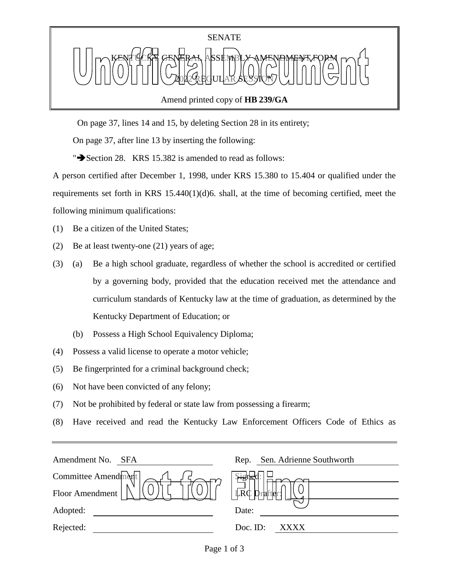

Amend printed copy of **HB 239/GA**

On page 37, lines 14 and 15, by deleting Section 28 in its entirety;

On page 37, after line 13 by inserting the following:

" $\rightarrow$  Section 28. KRS 15.382 is amended to read as follows:

A person certified after December 1, 1998, under KRS 15.380 to 15.404 or qualified under the requirements set forth in KRS 15.440(1)(d)6. shall, at the time of becoming certified, meet the following minimum qualifications:

(1) Be a citizen of the United States;

- (2) Be at least twenty-one (21) years of age;
- (3) (a) Be a high school graduate, regardless of whether the school is accredited or certified by a governing body, provided that the education received met the attendance and curriculum standards of Kentucky law at the time of graduation, as determined by the Kentucky Department of Education; or
	- (b) Possess a High School Equivalency Diploma;
- (4) Possess a valid license to operate a motor vehicle;
- (5) Be fingerprinted for a criminal background check;
- (6) Not have been convicted of any felony;
- (7) Not be prohibited by federal or state law from possessing a firearm;
- (8) Have received and read the Kentucky Law Enforcement Officers Code of Ethics as

| Amendment No.<br><b>SFA</b> | Sen. Adrienne Southworth<br>Rep. |
|-----------------------------|----------------------------------|
| Committee Amendment         |                                  |
| Floor Amendment             | LRC<br>Drafter                   |
| Adopted:                    | Date:                            |
| Rejected:                   | Doc. ID:<br><b>XXXX</b>          |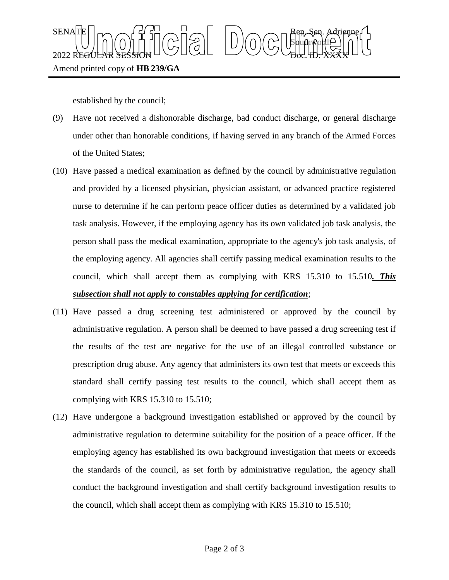

established by the council;

- (9) Have not received a dishonorable discharge, bad conduct discharge, or general discharge under other than honorable conditions, if having served in any branch of the Armed Forces of the United States;
- (10) Have passed a medical examination as defined by the council by administrative regulation and provided by a licensed physician, physician assistant, or advanced practice registered nurse to determine if he can perform peace officer duties as determined by a validated job task analysis. However, if the employing agency has its own validated job task analysis, the person shall pass the medical examination, appropriate to the agency's job task analysis, of the employing agency. All agencies shall certify passing medical examination results to the council, which shall accept them as complying with KRS 15.310 to 15.510*. This subsection shall not apply to constables applying for certification*;
- (11) Have passed a drug screening test administered or approved by the council by administrative regulation. A person shall be deemed to have passed a drug screening test if the results of the test are negative for the use of an illegal controlled substance or prescription drug abuse. Any agency that administers its own test that meets or exceeds this standard shall certify passing test results to the council, which shall accept them as complying with KRS 15.310 to 15.510;
- (12) Have undergone a background investigation established or approved by the council by administrative regulation to determine suitability for the position of a peace officer. If the employing agency has established its own background investigation that meets or exceeds the standards of the council, as set forth by administrative regulation, the agency shall conduct the background investigation and shall certify background investigation results to the council, which shall accept them as complying with KRS 15.310 to 15.510;